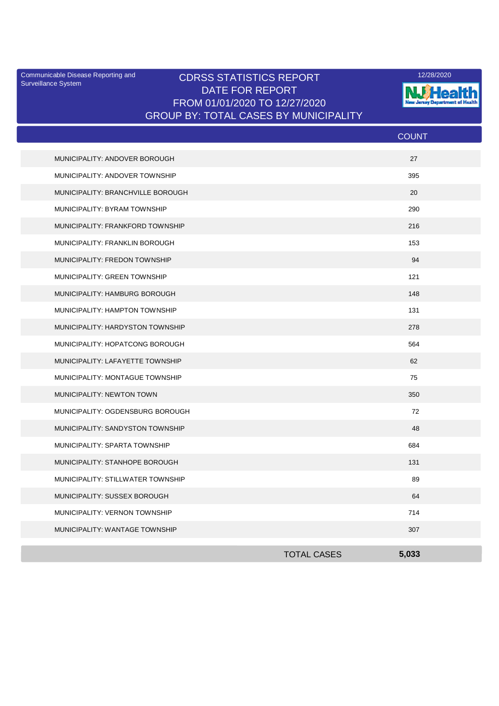Surveillance System

## Communicable Disease Reporting and **CDRSS STATISTICS REPORT** 12/28/2020<br>Surveillance Statem DATE FOR REPORT FROM 01/01/2020 TO 12/27/2020 GROUP BY: TOTAL CASES BY MUNICIPALITY



|                                   |                    | <b>COUNT</b> |  |
|-----------------------------------|--------------------|--------------|--|
| MUNICIPALITY: ANDOVER BOROUGH     |                    | 27           |  |
| MUNICIPALITY: ANDOVER TOWNSHIP    |                    | 395          |  |
| MUNICIPALITY: BRANCHVILLE BOROUGH |                    | 20           |  |
| MUNICIPALITY: BYRAM TOWNSHIP      |                    | 290          |  |
| MUNICIPALITY: FRANKFORD TOWNSHIP  |                    | 216          |  |
| MUNICIPALITY: FRANKLIN BOROUGH    |                    | 153          |  |
| MUNICIPALITY: FREDON TOWNSHIP     |                    | 94           |  |
| MUNICIPALITY: GREEN TOWNSHIP      |                    | 121          |  |
| MUNICIPALITY: HAMBURG BOROUGH     |                    | 148          |  |
| MUNICIPALITY: HAMPTON TOWNSHIP    |                    | 131          |  |
| MUNICIPALITY: HARDYSTON TOWNSHIP  |                    | 278          |  |
| MUNICIPALITY: HOPATCONG BOROUGH   |                    | 564          |  |
| MUNICIPALITY: LAFAYETTE TOWNSHIP  |                    | 62           |  |
| MUNICIPALITY: MONTAGUE TOWNSHIP   |                    | 75           |  |
| MUNICIPALITY: NEWTON TOWN         |                    | 350          |  |
| MUNICIPALITY: OGDENSBURG BOROUGH  |                    | 72           |  |
| MUNICIPALITY: SANDYSTON TOWNSHIP  |                    | 48           |  |
| MUNICIPALITY: SPARTA TOWNSHIP     |                    | 684          |  |
| MUNICIPALITY: STANHOPE BOROUGH    |                    | 131          |  |
| MUNICIPALITY: STILLWATER TOWNSHIP |                    | 89           |  |
| MUNICIPALITY: SUSSEX BOROUGH      |                    | 64           |  |
| MUNICIPALITY: VERNON TOWNSHIP     |                    | 714          |  |
| MUNICIPALITY: WANTAGE TOWNSHIP    |                    | 307          |  |
|                                   | <b>TOTAL CASES</b> | 5.033        |  |